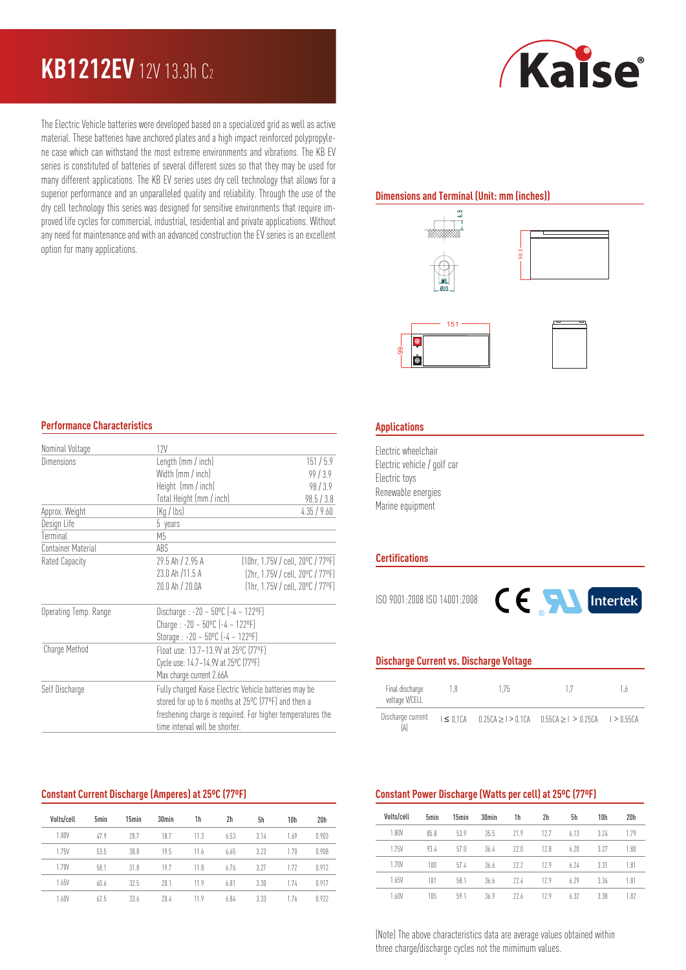# **KB1212EV** 12V 13.3h C<sup>2</sup>

The Electric Vehicle batteries were developed based on a specialized grid as well as active material. These batteries have anchored plates and a high impact reinforced polypropylene case which can withstand the most extreme environments and vibrations. The KB EV series is constituted of batteries of several different sizes so that they may be used for many different applications. The KB EV series uses dry cell technology that allows for a superior performance and an unparalleled quality and reliability. Through the use of the dry cell technology this series was designed for sensitive environments that require improved life cycles for commercial, industrial, residential and private applications. Without any need for maintenance and with an advanced construction the EV series is an excellent option for many applications.



## **Dimensions and Terminal (Unit: mm (inches))**









### **Performance Characteristics**

| Nominal Voltage       | 12V                                                        |                                                      |  |  |  |  |
|-----------------------|------------------------------------------------------------|------------------------------------------------------|--|--|--|--|
| Dimensions            | Length (mm / inch)                                         | 151/5.9                                              |  |  |  |  |
|                       | Width (mm / inch)                                          | 99/3.9                                               |  |  |  |  |
|                       | Height (mm / inch)                                         | 98/3.9                                               |  |  |  |  |
|                       | Total Height (mm / inch)                                   | 98.5 / 3.8                                           |  |  |  |  |
| Approx. Weight        | (Kg / lbs)                                                 | 4.35/9.60                                            |  |  |  |  |
| Design Life           | 5 years                                                    |                                                      |  |  |  |  |
| Terminal              | М5                                                         |                                                      |  |  |  |  |
| Container Material    | ABS                                                        |                                                      |  |  |  |  |
| Rated Capacity        | 29.5 Ah / 2.95 A                                           | (10hr, 1.75V / cell, 20°C / 77°F)                    |  |  |  |  |
|                       | 23.0 Ah /11.5 A                                            | (2hr. 1.75V / cell. 20ºC / 77ºF)                     |  |  |  |  |
|                       | 20.0 Ah / 20.0A                                            | $[1hr, 1.75V / cell, 20^{\circ}C / 77^{\circ}F]$     |  |  |  |  |
| Operating Temp. Range | Discharge : $-20 - 50^{\circ}$ C ( $-4 - 122^{\circ}$ F)   |                                                      |  |  |  |  |
|                       | Charge: $-20 - 50^{\circ}$ C $(-4 - 122^{\circ}F)$         |                                                      |  |  |  |  |
|                       |                                                            | Storage : $-20 - 50^{\circ}$ C $(-4 - 122^{\circ}F)$ |  |  |  |  |
| Charge Method         | Float use: 13.7~13.9V at 25°C (77°F)                       |                                                      |  |  |  |  |
|                       |                                                            | Cycle use: 14.7~14.9V at 25°C (77°F)                 |  |  |  |  |
|                       | Max charge current 2.66A                                   |                                                      |  |  |  |  |
| Self Discharge        | Fully charged Kaise Electric Vehicle batteries may be      |                                                      |  |  |  |  |
|                       | stored for up to 6 months at 25°C (77°F) and then a        |                                                      |  |  |  |  |
|                       | freshening charge is required. For higher temperatures the |                                                      |  |  |  |  |
|                       | time interval will be shorter.                             |                                                      |  |  |  |  |

### **Constant Current Discharge (Amperes) at 25ºC (77ºF)**

| Volts/cell | 5 <sub>min</sub> | 15min | 30 <sub>min</sub> | 1h   | 2h   | 5h   | 10 <sub>h</sub> | 20 <sub>h</sub> |
|------------|------------------|-------|-------------------|------|------|------|-----------------|-----------------|
| 1.80V      | 47.9             | 28.7  | 18.7              | 11.3 | 6.53 | 3.14 | 1.69            | 0.903           |
| 1.75V      | 53.5             | 30.8  | 195               | 11.6 | 6.65 | 3.23 | 1.70            | 0.908           |
| 1.70V      | 58.1             | 31.8  | 197               | 118  | 6.76 | 3.27 | 1.72            | 0.912           |
| 1.65V      | 60.6             | 32.5  | 20.1              | 11.9 | 6.81 | 3.30 | 174             | 0.917           |
| 1.60V      | 62.5             | 33.6  | 204               | 11.9 | 6.84 | 3.33 | 1.76            | 0.922           |

### **Applications**

Electric wheelchair Electric vehicle / golf car Electric toys Renewable energies **Applications<br>
Electric wheelchain**<br>
Electric vehicle / q<br>
Electric toys<br>
Renewable energia<br>
Marine equipment

#### **Certifications**

ISO 9001:2008 ISO 14001:2008



### **Discharge Current vs. Discharge Voltage**

| Final discharge<br>voltage V/CELL | 18 | 175 |                                                                                 | Ιh |
|-----------------------------------|----|-----|---------------------------------------------------------------------------------|----|
| Discharge current<br>ÍA'          |    |     | $1 \le 0.1$ CA $0.25$ CA $> 1 > 0.1$ CA $0.55$ CA $> 1 > 0.25$ CA $1 > 0.55$ CA |    |

#### **Constant Power Discharge (Watts per cell) at 25ºC (77ºF)**

| Volts/cell | 5 <sub>min</sub> | 15 <sub>min</sub> | 30 <sub>min</sub> | 1h   | 2h  | 5h    | 10 <sub>h</sub> | 20 <sub>h</sub> |
|------------|------------------|-------------------|-------------------|------|-----|-------|-----------------|-----------------|
| 1.80V      | 85.8             | 539               | 35.5              | 71.9 | 127 | 6.13  | 3.74            | 1.79            |
| 1.75V      | 934              | 570               | 36.4              | 220  | 128 | 6.20  | 3.27            | 1.80            |
| 1.70V      | 100              | 57 <sub>4</sub>   | 36.6              | 222  | 129 | 6.74  | 3.31            | 1.81            |
| 1.65V      | 101              | 58.1              | 36.6              | 77.4 | 129 | 6 7 9 | 3.34            | 1.81            |
| 1.60V      | 105              | 59.1              | 369               | 226  | 129 | 6.32  | 3.38            | 1.82            |

(Note) The above characteristics data are average values obtained within three charge/discharge cycles not the mimimum values.